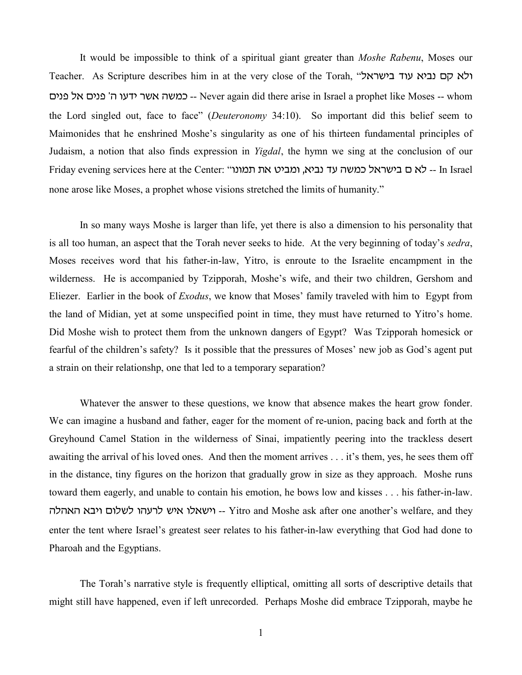It would be impossible to think of a spiritual giant greater than *Moshe Rabenu*, Moses our Teacher. As Scripture describes him in at the very close of the Torah, ולא קם נביא עוד בישראל ohbp kt ohbp wv ugsh rat vanf -- Never again did there arise in Israel a prophet like Moses -- whom the Lord singled out, face to face" (*Deuteronomy* 34:10). So important did this belief seem to Maimonides that he enshrined Moshe's singularity as one of his thirteen fundamental principles of Judaism, a notion that also finds expression in *Yigdal*, the hymn we sing at the conclusion of our Friday evening services here at the Center: "מ בישראל כמשה עד נביא, ומביט את תמונו -- In Israel none arose like Moses, a prophet whose visions stretched the limits of humanity."

In so many ways Moshe is larger than life, yet there is also a dimension to his personality that is all too human, an aspect that the Torah never seeks to hide. At the very beginning of today's *sedra*, Moses receives word that his father-in-law, Yitro, is enroute to the Israelite encampment in the wilderness. He is accompanied by Tzipporah, Moshe's wife, and their two children, Gershom and Eliezer. Earlier in the book of *Exodus*, we know that Moses' family traveled with him to Egypt from the land of Midian, yet at some unspecified point in time, they must have returned to Yitro's home. Did Moshe wish to protect them from the unknown dangers of Egypt? Was Tzipporah homesick or fearful of the children's safety? Is it possible that the pressures of Moses' new job as God's agent put a strain on their relationshp, one that led to a temporary separation?

Whatever the answer to these questions, we know that absence makes the heart grow fonder. We can imagine a husband and father, eager for the moment of re-union, pacing back and forth at the Greyhound Camel Station in the wilderness of Sinai, impatiently peering into the trackless desert awaiting the arrival of his loved ones. And then the moment arrives . . . it's them, yes, he sees them off in the distance, tiny figures on the horizon that gradually grow in size as they approach. Moshe runs toward them eagerly, and unable to contain his emotion, he bows low and kisses . . . his father-in-law. ישאלו איש לרעהו לשלום ויבא האהלה -- Yitro and Moshe ask after one another's welfare, and they enter the tent where Israel's greatest seer relates to his father-in-law everything that God had done to Pharoah and the Egyptians.

The Torah's narrative style is frequently elliptical, omitting all sorts of descriptive details that might still have happened, even if left unrecorded. Perhaps Moshe did embrace Tzipporah, maybe he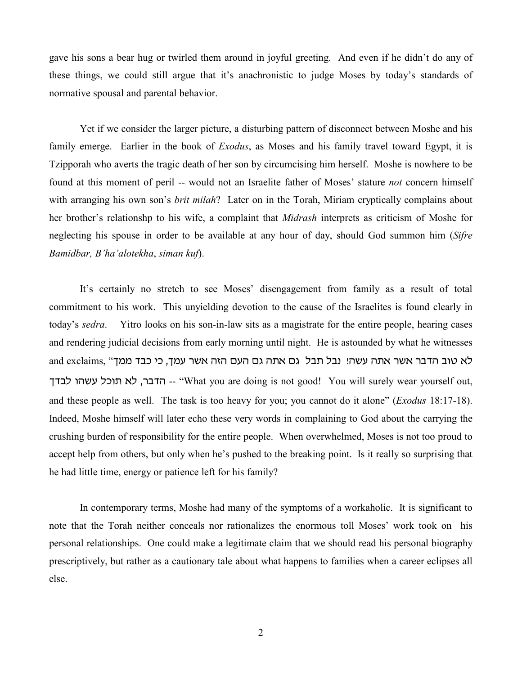gave his sons a bear hug or twirled them around in joyful greeting. And even if he didn't do any of these things, we could still argue that it's anachronistic to judge Moses by today's standards of normative spousal and parental behavior.

Yet if we consider the larger picture, a disturbing pattern of disconnect between Moshe and his family emerge. Earlier in the book of *Exodus*, as Moses and his family travel toward Egypt, it is Tzipporah who averts the tragic death of her son by circumcising him herself. Moshe is nowhere to be found at this moment of peril -- would not an Israelite father of Moses' stature *not* concern himself with arranging his own son's *brit milah*? Later on in the Torah, Miriam cryptically complains about her brother's relationshp to his wife, a complaint that *Midrash* interprets as criticism of Moshe for neglecting his spouse in order to be available at any hour of day, should God summon him (*Sifre Bamidbar, B'ha'alotekha*, *siman kuf*).

It's certainly no stretch to see Moses' disengagement from family as a result of total commitment to his work. This unyielding devotion to the cause of the Israelites is found clearly in today's *sedra*. Yitro looks on his son-in-law sits as a magistrate for the entire people, hearing cases and rendering judicial decisions from early morning until night. He is astounded by what he witnesses and exclaims, "לא טוב הדבר אשר אתה עשה! נבל תבל גם אתה גם העם הזה אשר עמך, כי כבד ממך -- הדבר, לא תוכל עשהו לבדך -- "What you are doing is not good! You will surely wear yourself out, and these people as well. The task is too heavy for you; you cannot do it alone" (*Exodus* 18:17-18). Indeed, Moshe himself will later echo these very words in complaining to God about the carrying the crushing burden of responsibility for the entire people. When overwhelmed, Moses is not too proud to accept help from others, but only when he's pushed to the breaking point. Is it really so surprising that he had little time, energy or patience left for his family?

In contemporary terms, Moshe had many of the symptoms of a workaholic. It is significant to note that the Torah neither conceals nor rationalizes the enormous toll Moses' work took on his personal relationships. One could make a legitimate claim that we should read his personal biography prescriptively, but rather as a cautionary tale about what happens to families when a career eclipses all else.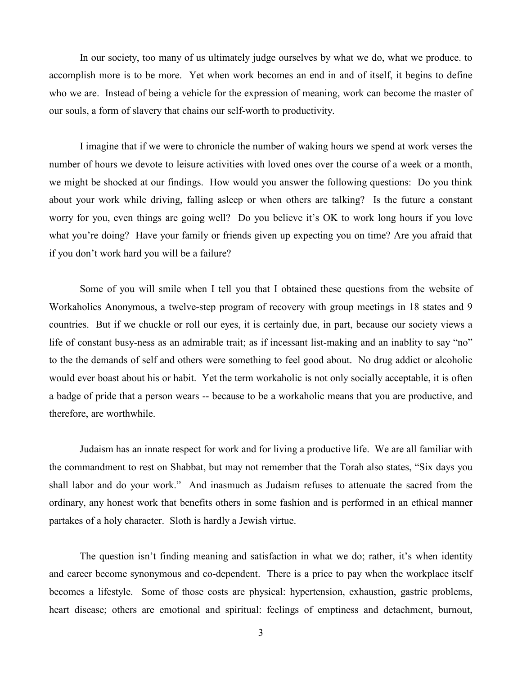In our society, too many of us ultimately judge ourselves by what we do, what we produce. to accomplish more is to be more. Yet when work becomes an end in and of itself, it begins to define who we are. Instead of being a vehicle for the expression of meaning, work can become the master of our souls, a form of slavery that chains our self-worth to productivity.

I imagine that if we were to chronicle the number of waking hours we spend at work verses the number of hours we devote to leisure activities with loved ones over the course of a week or a month, we might be shocked at our findings. How would you answer the following questions: Do you think about your work while driving, falling asleep or when others are talking? Is the future a constant worry for you, even things are going well? Do you believe it's OK to work long hours if you love what you're doing? Have your family or friends given up expecting you on time? Are you afraid that if you don't work hard you will be a failure?

Some of you will smile when I tell you that I obtained these questions from the website of Workaholics Anonymous, a twelve-step program of recovery with group meetings in 18 states and 9 countries. But if we chuckle or roll our eyes, it is certainly due, in part, because our society views a life of constant busy-ness as an admirable trait; as if incessant list-making and an inablity to say "no" to the the demands of self and others were something to feel good about. No drug addict or alcoholic would ever boast about his or habit. Yet the term workaholic is not only socially acceptable, it is often a badge of pride that a person wears -- because to be a workaholic means that you are productive, and therefore, are worthwhile.

Judaism has an innate respect for work and for living a productive life. We are all familiar with the commandment to rest on Shabbat, but may not remember that the Torah also states, "Six days you shall labor and do your work." And inasmuch as Judaism refuses to attenuate the sacred from the ordinary, any honest work that benefits others in some fashion and is performed in an ethical manner partakes of a holy character. Sloth is hardly a Jewish virtue.

The question isn't finding meaning and satisfaction in what we do; rather, it's when identity and career become synonymous and co-dependent. There is a price to pay when the workplace itself becomes a lifestyle. Some of those costs are physical: hypertension, exhaustion, gastric problems, heart disease; others are emotional and spiritual: feelings of emptiness and detachment, burnout,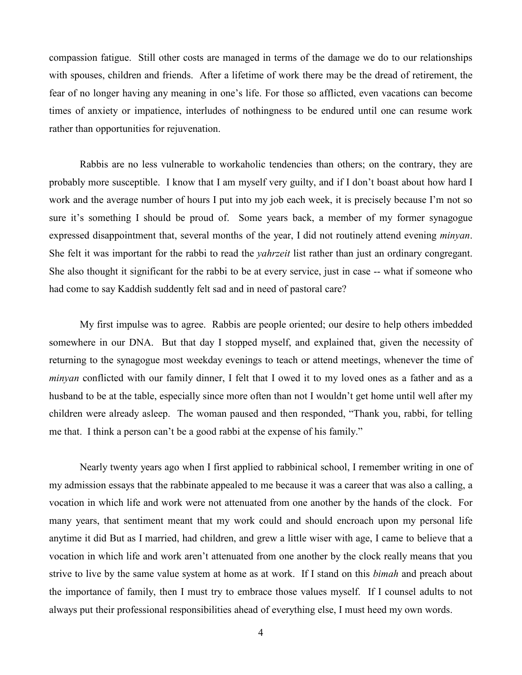compassion fatigue. Still other costs are managed in terms of the damage we do to our relationships with spouses, children and friends. After a lifetime of work there may be the dread of retirement, the fear of no longer having any meaning in one's life. For those so afflicted, even vacations can become times of anxiety or impatience, interludes of nothingness to be endured until one can resume work rather than opportunities for rejuvenation.

Rabbis are no less vulnerable to workaholic tendencies than others; on the contrary, they are probably more susceptible. I know that I am myself very guilty, and if I don't boast about how hard I work and the average number of hours I put into my job each week, it is precisely because I'm not so sure it's something I should be proud of. Some years back, a member of my former synagogue expressed disappointment that, several months of the year, I did not routinely attend evening *minyan*. She felt it was important for the rabbi to read the *yahrzeit* list rather than just an ordinary congregant. She also thought it significant for the rabbi to be at every service, just in case -- what if someone who had come to say Kaddish suddently felt sad and in need of pastoral care?

My first impulse was to agree. Rabbis are people oriented; our desire to help others imbedded somewhere in our DNA. But that day I stopped myself, and explained that, given the necessity of returning to the synagogue most weekday evenings to teach or attend meetings, whenever the time of *minyan* conflicted with our family dinner, I felt that I owed it to my loved ones as a father and as a husband to be at the table, especially since more often than not I wouldn't get home until well after my children were already asleep. The woman paused and then responded, "Thank you, rabbi, for telling me that. I think a person can't be a good rabbi at the expense of his family."

Nearly twenty years ago when I first applied to rabbinical school, I remember writing in one of my admission essays that the rabbinate appealed to me because it was a career that was also a calling, a vocation in which life and work were not attenuated from one another by the hands of the clock. For many years, that sentiment meant that my work could and should encroach upon my personal life anytime it did But as I married, had children, and grew a little wiser with age, I came to believe that a vocation in which life and work aren't attenuated from one another by the clock really means that you strive to live by the same value system at home as at work. If I stand on this *bimah* and preach about the importance of family, then I must try to embrace those values myself. If I counsel adults to not always put their professional responsibilities ahead of everything else, I must heed my own words.